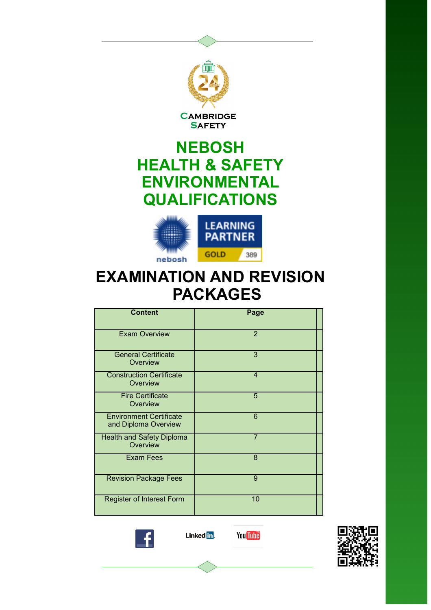

**CAMBRIDGE SAFETY** 

# **NEBOSH HEALTH & SAFETY ENVIRONMENTAL QUALIFICATIONS**



# **EXAMINATION AND REVISION PACKAGES**

| <b>Content</b>                                         | Page           |
|--------------------------------------------------------|----------------|
| <b>Exam Overview</b>                                   | $\overline{2}$ |
| <b>General Certificate</b><br>Overview                 | 3              |
| <b>Construction Certificate</b><br>Overview            | $\overline{4}$ |
| <b>Fire Certificate</b><br>Overview                    | 5              |
| <b>Environment Certificate</b><br>and Diploma Overview | 6              |
| <b>Health and Safety Diploma</b><br>Overview           | $\overline{7}$ |
| <b>Exam Fees</b>                                       | 8              |
| <b>Revision Package Fees</b>                           | 9              |
| <b>Register of Interest Form</b>                       | 10             |





**You Tube** 

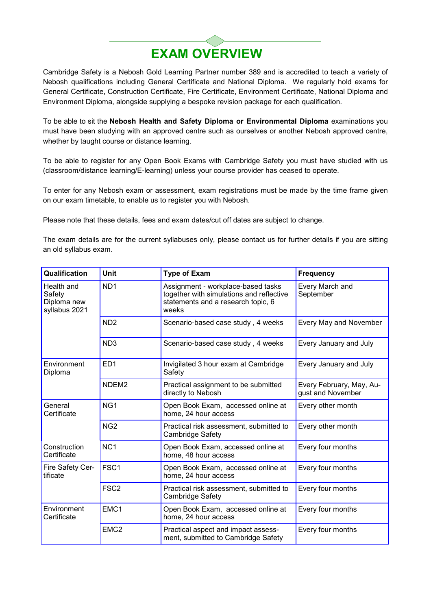

Cambridge Safety is a Nebosh Gold Learning Partner number 389 and is accredited to teach a variety of Nebosh qualifications including General Certificate and National Diploma. We regularly hold exams for General Certificate, Construction Certificate, Fire Certificate, Environment Certificate, National Diploma and Environment Diploma, alongside supplying a bespoke revision package for each qualification.

To be able to sit the **Nebosh Health and Safety Diploma or Environmental Diploma** examinations you must have been studying with an approved centre such as ourselves or another Nebosh approved centre, whether by taught course or distance learning.

To be able to register for any Open Book Exams with Cambridge Safety you must have studied with us (classroom/distance learning/E-learning) unless your course provider has ceased to operate.

To enter for any Nebosh exam or assessment, exam registrations must be made by the time frame given on our exam timetable, to enable us to register you with Nebosh.

Please note that these details, fees and exam dates/cut off dates are subject to change.

The exam details are for the current syllabuses only, please contact us for further details if you are sitting an old syllabus exam.

| Qualification                                        | <b>Unit</b>       | <b>Type of Exam</b>                                                                                                           | <b>Frequency</b>                              |
|------------------------------------------------------|-------------------|-------------------------------------------------------------------------------------------------------------------------------|-----------------------------------------------|
| Health and<br>Safety<br>Diploma new<br>syllabus 2021 | ND <sub>1</sub>   | Assignment - workplace-based tasks<br>together with simulations and reflective<br>statements and a research topic, 6<br>weeks | Every March and<br>September                  |
|                                                      | ND <sub>2</sub>   | Scenario-based case study, 4 weeks                                                                                            | Every May and November                        |
|                                                      | ND <sub>3</sub>   | Scenario-based case study, 4 weeks                                                                                            | Every January and July                        |
| Environment<br>Diploma                               | ED <sub>1</sub>   | Invigilated 3 hour exam at Cambridge<br>Safety                                                                                | Every January and July                        |
|                                                      | NDEM <sub>2</sub> | Practical assignment to be submitted<br>directly to Nebosh                                                                    | Every February, May, Au-<br>gust and November |
| General<br>Certificate                               | NG <sub>1</sub>   | Open Book Exam, accessed online at<br>home, 24 hour access                                                                    | Every other month                             |
|                                                      | NG <sub>2</sub>   | Practical risk assessment, submitted to<br>Cambridge Safety                                                                   | Every other month                             |
| Construction<br>Certificate                          | NC <sub>1</sub>   | Open Book Exam, accessed online at<br>home, 48 hour access                                                                    | Every four months                             |
| Fire Safety Cer-<br>tificate                         | FSC <sub>1</sub>  | Open Book Exam, accessed online at<br>home, 24 hour access                                                                    | Every four months                             |
|                                                      | FSC <sub>2</sub>  | Practical risk assessment, submitted to<br><b>Cambridge Safety</b>                                                            | Every four months                             |
| Environment<br>Certificate                           | EMC <sub>1</sub>  | Open Book Exam, accessed online at<br>home, 24 hour access                                                                    | Every four months                             |
|                                                      | EMC <sub>2</sub>  | Practical aspect and impact assess-<br>ment, submitted to Cambridge Safety                                                    | Every four months                             |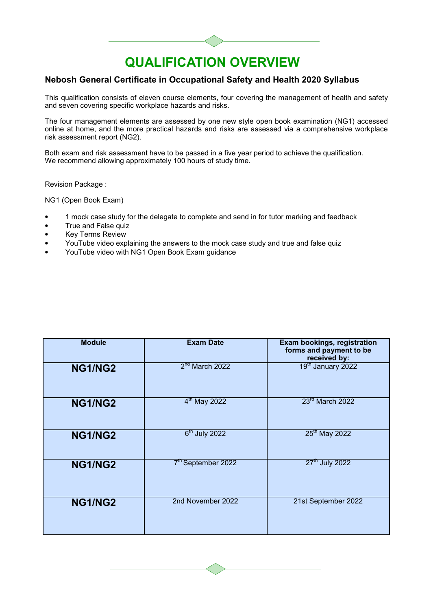### **Nebosh General Certificate in Occupational Safety and Health 2020 Syllabus**

This qualification consists of eleven course elements, four covering the management of health and safety and seven covering specific workplace hazards and risks.

The four management elements are assessed by one new style open book examination (NG1) accessed online at home, and the more practical hazards and risks are assessed via a comprehensive workplace risk assessment report (NG2).

Both exam and risk assessment have to be passed in a five year period to achieve the qualification. We recommend allowing approximately 100 hours of study time.

Revision Package :

NG1 (Open Book Exam)

- 1 mock case study for the delegate to complete and send in for tutor marking and feedback
- True and False quiz
- **Key Terms Review**
- YouTube video explaining the answers to the mock case study and true and false quiz
- YouTube video with NG1 Open Book Exam guidance

| <b>Module</b>  | <b>Exam Date</b>               | <b>Exam bookings, registration</b><br>forms and payment to be<br>received by: |
|----------------|--------------------------------|-------------------------------------------------------------------------------|
| <b>NG1/NG2</b> | 2 <sup>nd</sup> March 2022     | 19 <sup>th</sup> January 2022                                                 |
| <b>NG1/NG2</b> | $4th$ May 2022                 | 23rd March 2022                                                               |
| NG1/NG2        | 6 <sup>th</sup> July 2022      | 25 <sup>th</sup> May 2022                                                     |
| <b>NG1/NG2</b> | 7 <sup>th</sup> September 2022 | 27 <sup>th</sup> July 2022                                                    |
| <b>NG1/NG2</b> | 2nd November 2022              | 21st September 2022                                                           |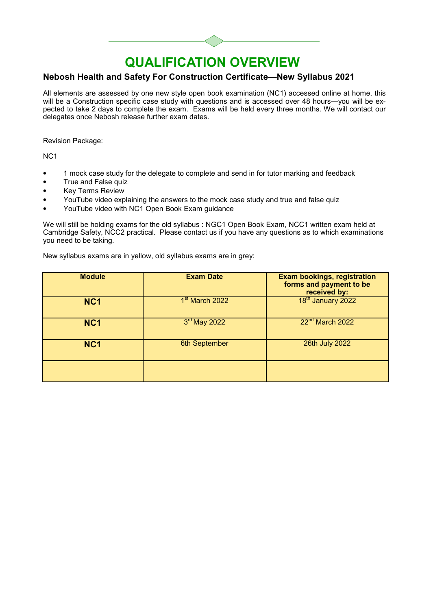### **Nebosh Health and Safety For Construction Certificate—New Syllabus 2021**

All elements are assessed by one new style open book examination (NC1) accessed online at home, this will be a Construction specific case study with questions and is accessed over 48 hours—you will be expected to take 2 days to complete the exam. Exams will be held every three months. We will contact our delegates once Nebosh release further exam dates.

Revision Package:

NC1

- 1 mock case study for the delegate to complete and send in for tutor marking and feedback
- True and False quiz
- Key Terms Review
- YouTube video explaining the answers to the mock case study and true and false quiz
- YouTube video with NC1 Open Book Exam guidance

We will still be holding exams for the old syllabus : NGC1 Open Book Exam, NCC1 written exam held at Cambridge Safety, NCC2 practical. Please contact us if you have any questions as to which examinations you need to be taking.

New syllabus exams are in yellow, old syllabus exams are in grey:

| <b>Module</b>   | <b>Exam Date</b>           | <b>Exam bookings, registration</b><br>forms and payment to be<br>received by: |
|-----------------|----------------------------|-------------------------------------------------------------------------------|
| NC <sub>1</sub> | 1 <sup>st</sup> March 2022 | 18 <sup>th</sup> January 2022                                                 |
| NC <sub>1</sub> | $3rd$ May 2022             | 22 <sup>nd</sup> March 2022                                                   |
| NC <sub>1</sub> | 6th September              | 26th July 2022                                                                |
|                 |                            |                                                                               |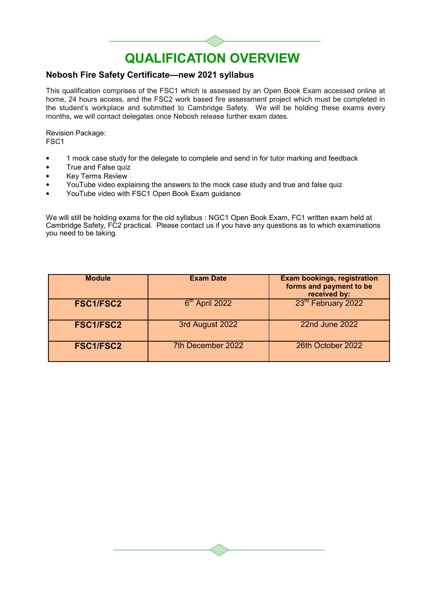### **Nebosh Fire Safety Certificate—new 2021 syllabus**

This qualification comprises of the FSC1 which is assessed by an Open Book Exam accessed online at home, 24 hours access, and the FSC2 work based fire assessment project which must be completed in the student's workplace and submitted to Cambridge Safety. We will be holding these exams every months, we will contact delegates once Nebosh release further exam dates.

Revision Package: FSC1

- 1 mock case study for the delegate to complete and send in for tutor marking and feedback
- True and False quiz
- Key Terms Review
- YouTube video explaining the answers to the mock case study and true and false quiz
- YouTube video with FSC1 Open Book Exam guidance

We will still be holding exams for the old syllabus : NGC1 Open Book Exam, FC1 written exam held at Cambridge Safety, FC2 practical. Please contact us if you have any questions as to which examinations you need to be taking.

| <b>Module</b>    | <b>Exam Date</b>  | <b>Exam bookings, registration</b><br>forms and payment to be<br>received by: |
|------------------|-------------------|-------------------------------------------------------------------------------|
| <b>FSC1/FSC2</b> | $6th$ April 2022  | 23 <sup>rd</sup> February 2022                                                |
| <b>FSC1/FSC2</b> | 3rd August 2022   | <b>22nd June 2022</b>                                                         |
| <b>FSC1/FSC2</b> | 7th December 2022 | 26th October 2022                                                             |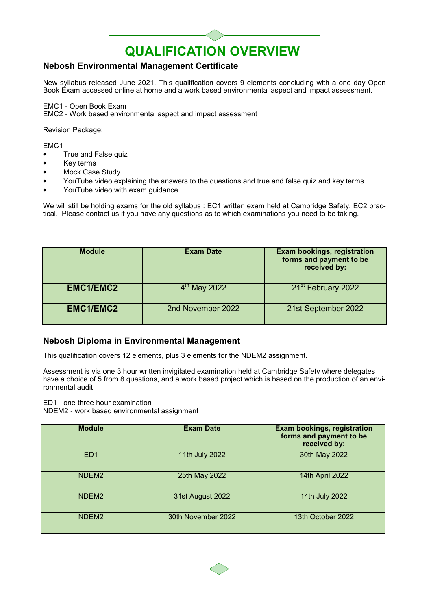### **Nebosh Environmental Management Certificate**

New syllabus released June 2021. This qualification covers 9 elements concluding with a one day Open Book Exam accessed online at home and a work based environmental aspect and impact assessment.

EMC1 - Open Book Exam

EMC2 - Work based environmental aspect and impact assessment

Revision Package:

EMC1

- True and False quiz
- Key terms
- Mock Case Study
- YouTube video explaining the answers to the questions and true and false quiz and key terms
- YouTube video with exam guidance

We will still be holding exams for the old syllabus : EC1 written exam held at Cambridge Safety, EC2 practical. Please contact us if you have any questions as to which examinations you need to be taking.

| <b>Module</b>    | <b>Exam Date</b>  | <b>Exam bookings, registration</b><br>forms and payment to be<br>received by: |
|------------------|-------------------|-------------------------------------------------------------------------------|
| <b>EMC1/EMC2</b> | $4th$ May 2022    | 21 <sup>st</sup> February 2022                                                |
| <b>EMC1/EMC2</b> | 2nd November 2022 | 21st September 2022                                                           |

#### **Nebosh Diploma in Environmental Management**

This qualification covers 12 elements, plus 3 elements for the NDEM2 assignment.

Assessment is via one 3 hour written invigilated examination held at Cambridge Safety where delegates have a choice of 5 from 8 questions, and a work based project which is based on the production of an environmental audit.

ED1 - one three hour examination

NDEM2 - work based environmental assignment

| <b>Module</b>     | <b>Exam Date</b>   | <b>Exam bookings, registration</b><br>forms and payment to be<br>received by: |
|-------------------|--------------------|-------------------------------------------------------------------------------|
| ED <sub>1</sub>   | 11th July 2022     | 30th May 2022                                                                 |
| NDEM <sub>2</sub> | 25th May 2022      | 14th April 2022                                                               |
| NDEM <sub>2</sub> | 31st August 2022   | 14th July 2022                                                                |
| NDEM <sub>2</sub> | 30th November 2022 | 13th October 2022                                                             |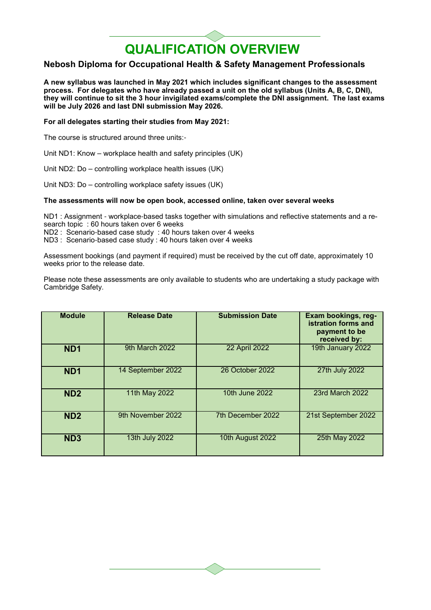#### **Nebosh Diploma for Occupational Health & Safety Management Professionals**

**A new syllabus was launched in May 2021 which includes significant changes to the assessment process. For delegates who have already passed a unit on the old syllabus (Units A, B, C, DNI), they will continue to sit the 3 hour invigilated exams/complete the DNI assignment. The last exams will be July 2026 and last DNI submission May 2026.**

#### **For all delegates starting their studies from May 2021:**

The course is structured around three units:-

Unit ND1: Know – workplace health and safety principles (UK)

Unit ND2: Do – controlling workplace health issues (UK)

Unit ND3: Do – controlling workplace safety issues (UK)

#### **The assessments will now be open book, accessed online, taken over several weeks**

ND1 : Assignment - workplace-based tasks together with simulations and reflective statements and a research topic : 60 hours taken over 6 weeks

ND2 : Scenario-based case study : 40 hours taken over 4 weeks

ND3 : Scenario-based case study : 40 hours taken over 4 weeks

Assessment bookings (and payment if required) must be received by the cut off date, approximately 10 weeks prior to the release date.

Please note these assessments are only available to students who are undertaking a study package with Cambridge Safety.

| <b>Module</b>   | <b>Release Date</b> | <b>Submission Date</b> | Exam bookings, reg-<br>istration forms and<br>payment to be<br>received by: |
|-----------------|---------------------|------------------------|-----------------------------------------------------------------------------|
| ND <sub>1</sub> | 9th March 2022      | <b>22 April 2022</b>   | 19th January 2022                                                           |
| ND <sub>1</sub> | 14 September 2022   | 26 October 2022        | 27th July 2022                                                              |
| ND <sub>2</sub> | 11th May 2022       | 10th June 2022         | 23rd March 2022                                                             |
| ND <sub>2</sub> | 9th November 2022   | 7th December 2022      | 21st September 2022                                                         |
| ND <sub>3</sub> | 13th July 2022      | 10th August 2022       | 25th May 2022                                                               |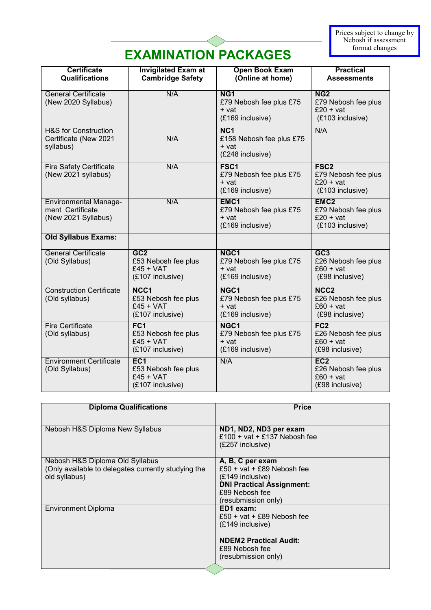# **EXAMINATION PACKAGES**

| <b>Certificate</b><br><b>Qualifications</b>                             | <b>Invigilated Exam at</b><br><b>Cambridge Safety</b>                     | <b>Open Book Exam</b><br>(Online at home)                                | <b>Practical</b><br><b>Assessments</b>                                     |
|-------------------------------------------------------------------------|---------------------------------------------------------------------------|--------------------------------------------------------------------------|----------------------------------------------------------------------------|
| <b>General Certificate</b><br>(New 2020 Syllabus)                       | N/A                                                                       | NG <sub>1</sub><br>£79 Nebosh fee plus £75<br>$+vat$<br>(£169 inclusive) | NG2<br>£79 Nebosh fee plus<br>$£20 + vat$<br>(£103 inclusive)              |
| <b>H&amp;S for Construction</b><br>Certificate (New 2021<br>syllabus)   | N/A                                                                       | NC <sub>1</sub><br>£158 Nebosh fee plus £75<br>+ vat<br>(£248 inclusive) | N/A                                                                        |
| <b>Fire Safety Certificate</b><br>(New 2021 syllabus)                   | N/A                                                                       | FSC <sub>1</sub><br>£79 Nebosh fee plus £75<br>+ vat<br>(£169 inclusive) | FSC <sub>2</sub><br>£79 Nebosh fee plus<br>$£20 + vat$<br>(£103 inclusive) |
| <b>Environmental Manage-</b><br>ment Certificate<br>(New 2021 Syllabus) | N/A                                                                       | EMC1<br>£79 Nebosh fee plus £75<br>+ vat<br>(£169 inclusive)             | EMC <sub>2</sub><br>£79 Nebosh fee plus<br>$£20 + vat$<br>(£103 inclusive) |
| <b>Old Syllabus Exams:</b>                                              |                                                                           |                                                                          |                                                                            |
| <b>General Certificate</b><br>(Old Syllabus)                            | GC <sub>2</sub><br>£53 Nebosh fee plus<br>$£45 + VAT$<br>(£107 inclusive) | NGC <sub>1</sub><br>£79 Nebosh fee plus £75<br>+ vat<br>(£169 inclusive) | GC <sub>3</sub><br>£26 Nebosh fee plus<br>$£60 + vat$<br>(£98 inclusive)   |
| <b>Construction Certificate</b><br>(Old syllabus)                       | NCC1<br>£53 Nebosh fee plus<br>$£45 + VAT$<br>(£107 inclusive)            | NGC1<br>£79 Nebosh fee plus £75<br>+ vat<br>(£169 inclusive)             | NCC <sub>2</sub><br>£26 Nebosh fee plus<br>$£60 + vat$<br>(£98 inclusive)  |
| <b>Fire Certificate</b><br>(Old syllabus)                               | FC1<br>£53 Nebosh fee plus<br>$f45 + VAT$<br>(£107 inclusive)             | NGC1<br>£79 Nebosh fee plus £75<br>+ vat<br>(£169 inclusive)             | FC2<br>£26 Nebosh fee plus<br>$£60 + vat$<br>(£98 inclusive)               |
| <b>Environment Certificate</b><br>(Old Syllabus)                        | EC <sub>1</sub><br>£53 Nebosh fee plus<br>$f45 + VAT$<br>(£107 inclusive) | N/A                                                                      | EC <sub>2</sub><br>£26 Nebosh fee plus<br>$£60 + vat$<br>(£98 inclusive)   |

| <b>Diploma Qualifications</b>                       | <b>Price</b>                     |
|-----------------------------------------------------|----------------------------------|
|                                                     |                                  |
| Nebosh H&S Diploma New Syllabus                     | ND1, ND2, ND3 per exam           |
|                                                     | £100 + vat + £137 Nebosh fee     |
|                                                     | $(E257$ inclusive)               |
|                                                     |                                  |
| Nebosh H&S Diploma Old Syllabus                     | A, B, C per exam                 |
| (Only available to delegates currently studying the | £50 + vat + £89 Nebosh fee       |
| old syllabus)                                       | $(E149$ inclusive)               |
|                                                     | <b>DNI Practical Assignment:</b> |
|                                                     | £89 Nebosh fee                   |
|                                                     | (resubmission only)              |
| Environment Diploma                                 | ED1 exam:                        |
|                                                     | £50 + vat + £89 Nebosh fee       |
|                                                     | (£149 inclusive)                 |
|                                                     |                                  |
|                                                     | <b>NDEM2 Practical Audit:</b>    |
|                                                     | £89 Nebosh fee                   |
|                                                     | (resubmission only)              |
|                                                     |                                  |
|                                                     |                                  |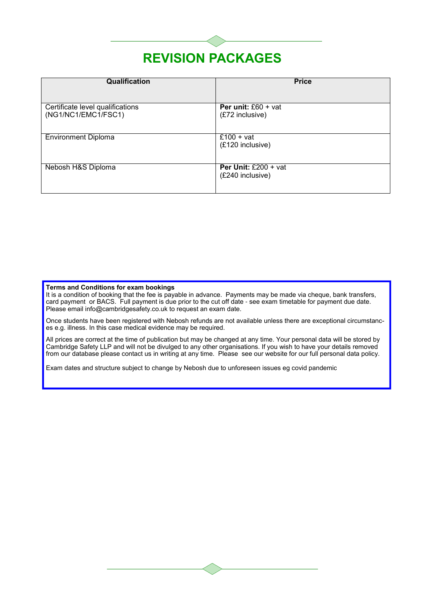# **REVISION PACKAGES**

| Qualification                                           | <b>Price</b>                                        |
|---------------------------------------------------------|-----------------------------------------------------|
|                                                         |                                                     |
| Certificate level qualifications<br>(NG1/NC1/EMC1/FSC1) | <b>Per unit:</b> $£60 + vat$<br>(£72 inclusive)     |
| <b>Environment Diploma</b>                              | $\overline{\text{£}}$ 100 + vat<br>(£120 inclusive) |
| Nebosh H&S Diploma                                      | <b>Per Unit:</b> £200 + vat<br>(£240 inclusive)     |

#### **Terms and Conditions for exam bookings**

It is a condition of booking that the fee is payable in advance. Payments may be made via cheque, bank transfers, card payment or BACS. Full payment is due prior to the cut off date - see exam timetable for payment due date. Please email info@cambridgesafety.co.uk to request an exam date.

Once students have been registered with Nebosh refunds are not available unless there are exceptional circumstances e.g. illness. In this case medical evidence may be required.

All prices are correct at the time of publication but may be changed at any time. Your personal data will be stored by Cambridge Safety LLP and will not be divulged to any other organisations. If you wish to have your details removed from our database please contact us in writing at any time. Please see our website for our full personal data policy.

Exam dates and structure subject to change by Nebosh due to unforeseen issues eg covid pandemic